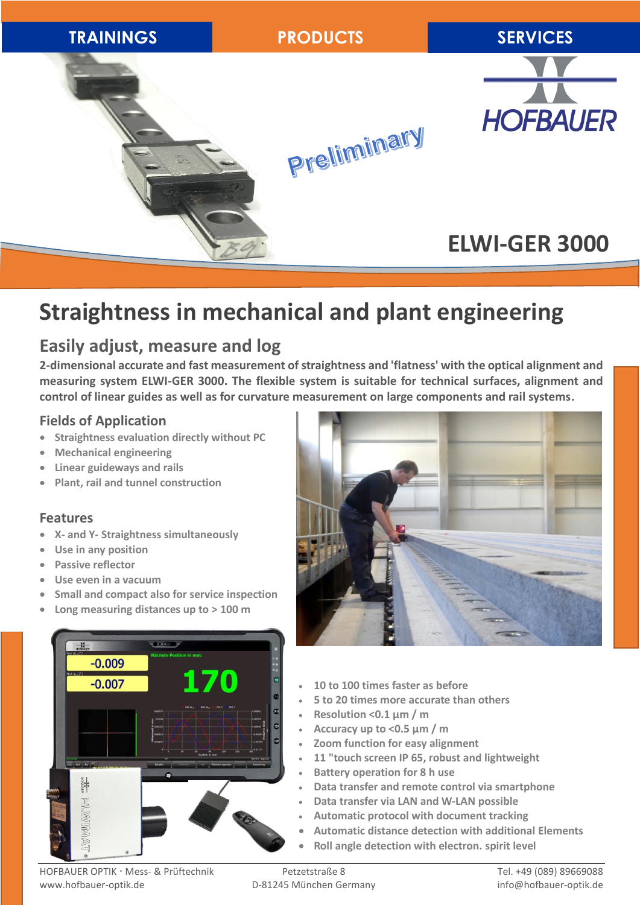

# **Straightness in mechanical and plant engineering**

# **Easily adjust, measure and log**

**2-dimensional accurate and fast measurement of straightness and 'flatness' with the optical alignment and measuring system ELWI-GER 3000. The flexible system is suitable for technical surfaces, alignment and control of linear guides as well as for curvature measurement on large components and rail systems.** 

## **Fields of Application**

- **Straightness evaluation directly without PC**
- **Mechanical engineering**
- **Linear guideways and rails**
- **Plant, rail and tunnel construction**

### **Features**

- **X- and Y- Straightness simultaneously**
- **Use in any position**
- **Passive reflector**
- **Use even in a vacuum**
- **Small and compact also for service inspection**
- **Long measuring distances up to > 100 m**





- **10 to 100 times faster as before**
- **5 to 20 times more accurate than others**
- **Resolution <0.1 μm / m**
- **Accuracy up to <0.5 μm / m**
- **Zoom function for easy alignment**
- **11 "touch screen IP 65, robust and lightweight**
- **Battery operation for 8 h use**
- **Data transfer and remote control via smartphone**
- **Data transfer via LAN and W-LAN possible**
- **Automatic protocol with document tracking**
- **Automatic distance detection with additional Elements**
- **Roll angle detection with electron. spirit level**

HOFBAUER OPTIK · Mess- & Prüftechnik Tel. +49 (089) 89669088 www.hofbauer-optik.de D-81245 München Germany info@hofbauer-optik.de